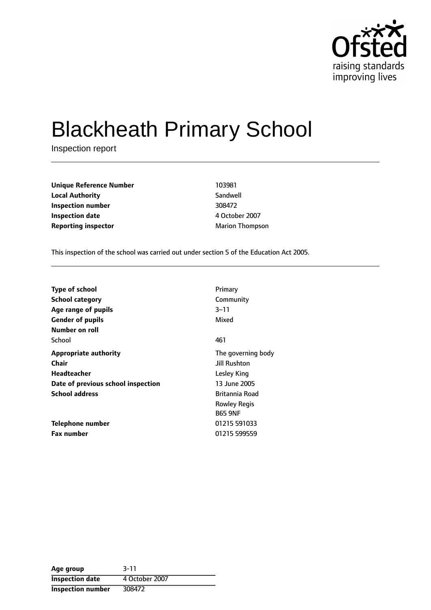

# Blackheath Primary School

Inspection report

**Unique Reference Number** 103981 **Local Authority** Sandwell **Inspection number** 308472 **Inspection date** 4 October 2007 **Reporting inspector** Marion Thompson

This inspection of the school was carried out under section 5 of the Education Act 2005.

| <b>Type of school</b>                                                   | Primary                                                 |
|-------------------------------------------------------------------------|---------------------------------------------------------|
| <b>School category</b>                                                  | Community                                               |
| Age range of pupils<br><b>Gender of pupils</b><br><b>Number on roll</b> | $3 - 11$<br>Mixed                                       |
| School                                                                  | 461                                                     |
| <b>Appropriate authority</b>                                            | The governing body                                      |
| Chair                                                                   | Jill Rushton                                            |
| Headteacher                                                             | Lesley King                                             |
| Date of previous school inspection                                      | 13 June 2005                                            |
| <b>School address</b>                                                   | Britannia Road<br><b>Rowley Regis</b><br><b>B65 9NF</b> |
| Telephone number                                                        | 01215 591033                                            |
| <b>Fax number</b>                                                       | 01215 599559                                            |

| Age group                | $3 - 11$       |
|--------------------------|----------------|
| <b>Inspection date</b>   | 4 October 2007 |
| <b>Inspection number</b> | 308472         |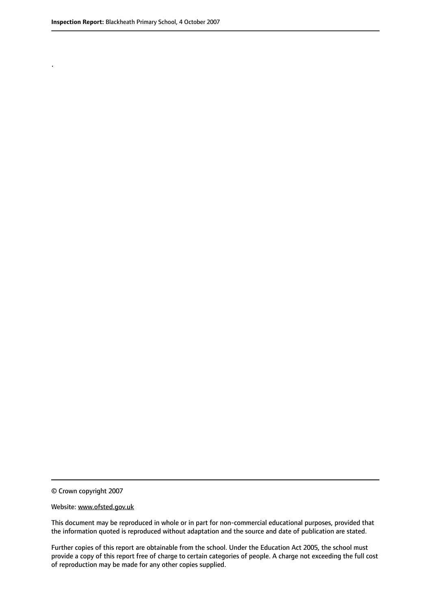.

This document may be reproduced in whole or in part for non-commercial educational purposes, provided that the information quoted is reproduced without adaptation and the source and date of publication are stated.

Further copies of this report are obtainable from the school. Under the Education Act 2005, the school must provide a copy of this report free of charge to certain categories of people. A charge not exceeding the full cost of reproduction may be made for any other copies supplied.

<sup>©</sup> Crown copyright 2007

Website: www.ofsted.gov.uk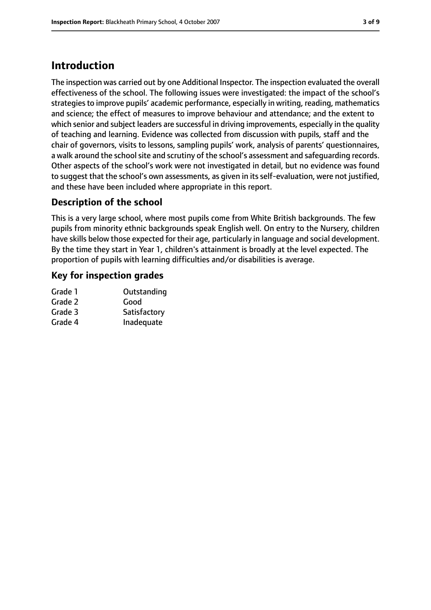# **Introduction**

The inspection was carried out by one Additional Inspector. The inspection evaluated the overall effectiveness of the school. The following issues were investigated: the impact of the school's strategies to improve pupils' academic performance, especially in writing, reading, mathematics and science; the effect of measures to improve behaviour and attendance; and the extent to which senior and subject leaders are successful in driving improvements, especially in the quality of teaching and learning. Evidence was collected from discussion with pupils, staff and the chair of governors, visits to lessons, sampling pupils' work, analysis of parents' questionnaires, a walk around the school site and scrutiny of the school's assessment and safequarding records. Other aspects of the school's work were not investigated in detail, but no evidence was found to suggest that the school's own assessments, as given in its self-evaluation, were not justified, and these have been included where appropriate in this report.

### **Description of the school**

This is a very large school, where most pupils come from White British backgrounds. The few pupils from minority ethnic backgrounds speak English well. On entry to the Nursery, children have skills below those expected for their age, particularly in language and social development. By the time they start in Year 1, children's attainment is broadly at the level expected. The proportion of pupils with learning difficulties and/or disabilities is average.

### **Key for inspection grades**

| Grade 1 | Outstanding  |
|---------|--------------|
| Grade 2 | Good         |
| Grade 3 | Satisfactory |
| Grade 4 | Inadequate   |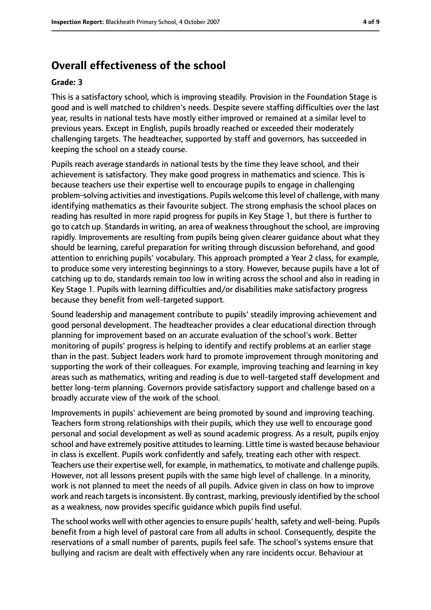# **Overall effectiveness of the school**

#### **Grade: 3**

This is a satisfactory school, which is improving steadily. Provision in the Foundation Stage is good and is well matched to children's needs. Despite severe staffing difficulties over the last year, results in national tests have mostly either improved or remained at a similar level to previous years. Except in English, pupils broadly reached or exceeded their moderately challenging targets. The headteacher, supported by staff and governors, has succeeded in keeping the school on a steady course.

Pupils reach average standards in national tests by the time they leave school, and their achievement is satisfactory. They make good progress in mathematics and science. This is because teachers use their expertise well to encourage pupils to engage in challenging problem-solving activities and investigations. Pupils welcome this level of challenge, with many identifying mathematics as their favourite subject. The strong emphasis the school places on reading has resulted in more rapid progress for pupils in Key Stage 1, but there is further to go to catch up. Standards in writing, an area of weakness throughout the school, are improving rapidly. Improvements are resulting from pupils being given clearer guidance about what they should be learning, careful preparation for writing through discussion beforehand, and good attention to enriching pupils' vocabulary. This approach prompted a Year 2 class, for example, to produce some very interesting beginnings to a story. However, because pupils have a lot of catching up to do, standards remain too low in writing across the school and also in reading in Key Stage 1. Pupils with learning difficulties and/or disabilities make satisfactory progress because they benefit from well-targeted support.

Sound leadership and management contribute to pupils' steadily improving achievement and good personal development. The headteacher provides a clear educational direction through planning for improvement based on an accurate evaluation of the school's work. Better monitoring of pupils' progress is helping to identify and rectify problems at an earlier stage than in the past. Subject leaders work hard to promote improvement through monitoring and supporting the work of their colleagues. For example, improving teaching and learning in key areas such as mathematics, writing and reading is due to well-targeted staff development and better long-term planning. Governors provide satisfactory support and challenge based on a broadly accurate view of the work of the school.

Improvements in pupils' achievement are being promoted by sound and improving teaching. Teachers form strong relationships with their pupils, which they use well to encourage good personal and social development as well as sound academic progress. As a result, pupils enjoy school and have extremely positive attitudes to learning. Little time is wasted because behaviour in class is excellent. Pupils work confidently and safely, treating each other with respect. Teachers use their expertise well, for example, in mathematics, to motivate and challenge pupils. However, not all lessons present pupils with the same high level of challenge. In a minority, work is not planned to meet the needs of all pupils. Advice given in class on how to improve work and reach targets is inconsistent. By contrast, marking, previously identified by the school as a weakness, now provides specific guidance which pupils find useful.

The school works well with other agencies to ensure pupils' health, safety and well-being. Pupils benefit from a high level of pastoral care from all adults in school. Consequently, despite the reservations of a small number of parents, pupils feel safe. The school's systems ensure that bullying and racism are dealt with effectively when any rare incidents occur. Behaviour at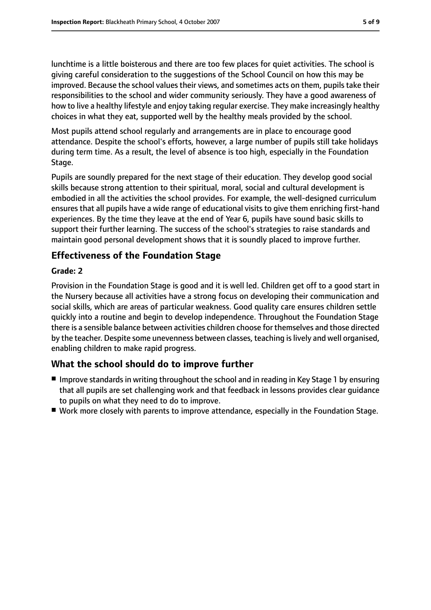lunchtime is a little boisterous and there are too few places for quiet activities. The school is giving careful consideration to the suggestions of the School Council on how this may be improved. Because the school values their views, and sometimes acts on them, pupils take their responsibilities to the school and wider community seriously. They have a good awareness of how to live a healthy lifestyle and enjoy taking regular exercise. They make increasingly healthy choices in what they eat, supported well by the healthy meals provided by the school.

Most pupils attend school regularly and arrangements are in place to encourage good attendance. Despite the school's efforts, however, a large number of pupils still take holidays during term time. As a result, the level of absence is too high, especially in the Foundation Stage.

Pupils are soundly prepared for the next stage of their education. They develop good social skills because strong attention to their spiritual, moral, social and cultural development is embodied in all the activities the school provides. For example, the well-designed curriculum ensures that all pupils have a wide range of educational visits to give them enriching first-hand experiences. By the time they leave at the end of Year 6, pupils have sound basic skills to support their further learning. The success of the school's strategies to raise standards and maintain good personal development shows that it is soundly placed to improve further.

### **Effectiveness of the Foundation Stage**

#### **Grade: 2**

Provision in the Foundation Stage is good and it is well led. Children get off to a good start in the Nursery because all activities have a strong focus on developing their communication and social skills, which are areas of particular weakness. Good quality care ensures children settle quickly into a routine and begin to develop independence. Throughout the Foundation Stage there is a sensible balance between activities children choose for themselves and those directed by the teacher. Despite some unevenness between classes, teaching is lively and well organised, enabling children to make rapid progress.

### **What the school should do to improve further**

- Improve standards in writing throughout the school and in reading in Key Stage 1 by ensuring that all pupils are set challenging work and that feedback in lessons provides clear guidance to pupils on what they need to do to improve.
- Work more closely with parents to improve attendance, especially in the Foundation Stage.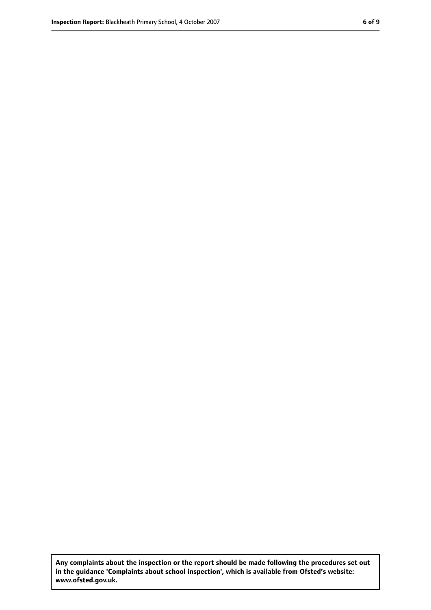**Any complaints about the inspection or the report should be made following the procedures set out in the guidance 'Complaints about school inspection', which is available from Ofsted's website: www.ofsted.gov.uk.**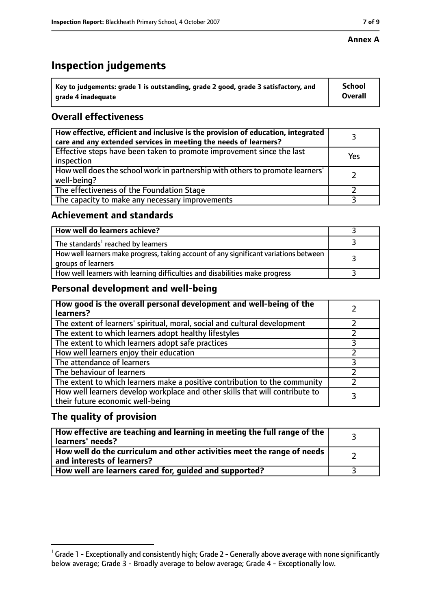### **Annex A**

# **Inspection judgements**

| $^{\circ}$ Key to judgements: grade 1 is outstanding, grade 2 good, grade 3 satisfactory, and | School         |
|-----------------------------------------------------------------------------------------------|----------------|
| arade 4 inadequate                                                                            | <b>Overall</b> |

### **Overall effectiveness**

| How effective, efficient and inclusive is the provision of education, integrated<br>care and any extended services in meeting the needs of learners? |     |
|------------------------------------------------------------------------------------------------------------------------------------------------------|-----|
| Effective steps have been taken to promote improvement since the last<br>inspection                                                                  | Yes |
| How well does the school work in partnership with others to promote learners'<br>well-being?                                                         |     |
| The effectiveness of the Foundation Stage                                                                                                            |     |
| The capacity to make any necessary improvements                                                                                                      |     |

### **Achievement and standards**

| How well do learners achieve?                                                                               |  |
|-------------------------------------------------------------------------------------------------------------|--|
| The standards <sup>1</sup> reached by learners                                                              |  |
| How well learners make progress, taking account of any significant variations between<br>groups of learners |  |
| How well learners with learning difficulties and disabilities make progress                                 |  |

### **Personal development and well-being**

| How good is the overall personal development and well-being of the<br>learners?                                  |  |
|------------------------------------------------------------------------------------------------------------------|--|
| The extent of learners' spiritual, moral, social and cultural development                                        |  |
| The extent to which learners adopt healthy lifestyles                                                            |  |
| The extent to which learners adopt safe practices                                                                |  |
| How well learners enjoy their education                                                                          |  |
| The attendance of learners                                                                                       |  |
| The behaviour of learners                                                                                        |  |
| The extent to which learners make a positive contribution to the community                                       |  |
| How well learners develop workplace and other skills that will contribute to<br>their future economic well-being |  |

### **The quality of provision**

| How effective are teaching and learning in meeting the full range of the<br>learners' needs?          |  |
|-------------------------------------------------------------------------------------------------------|--|
| How well do the curriculum and other activities meet the range of needs<br>and interests of learners? |  |
| How well are learners cared for, quided and supported?                                                |  |

 $^1$  Grade 1 - Exceptionally and consistently high; Grade 2 - Generally above average with none significantly below average; Grade 3 - Broadly average to below average; Grade 4 - Exceptionally low.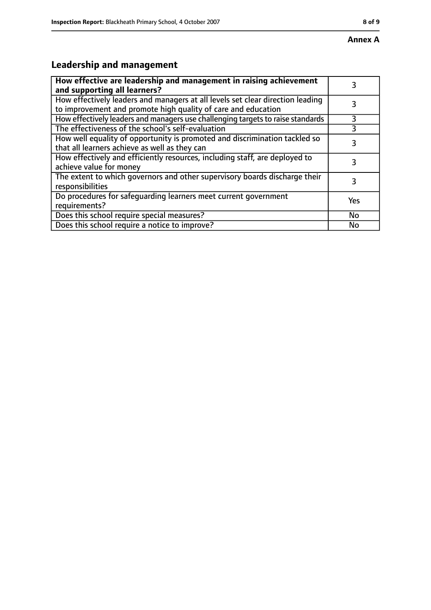# **Leadership and management**

| How effective are leadership and management in raising achievement<br>and supporting all learners?                                              |     |
|-------------------------------------------------------------------------------------------------------------------------------------------------|-----|
| How effectively leaders and managers at all levels set clear direction leading<br>to improvement and promote high quality of care and education |     |
| How effectively leaders and managers use challenging targets to raise standards                                                                 | 3   |
| The effectiveness of the school's self-evaluation                                                                                               | 3   |
| How well equality of opportunity is promoted and discrimination tackled so<br>that all learners achieve as well as they can                     | 3   |
| How effectively and efficiently resources, including staff, are deployed to<br>achieve value for money                                          | 3   |
| The extent to which governors and other supervisory boards discharge their<br>responsibilities                                                  | 3   |
| Do procedures for safequarding learners meet current government<br>requirements?                                                                | Yes |
| Does this school require special measures?                                                                                                      | No  |
| Does this school require a notice to improve?                                                                                                   | No  |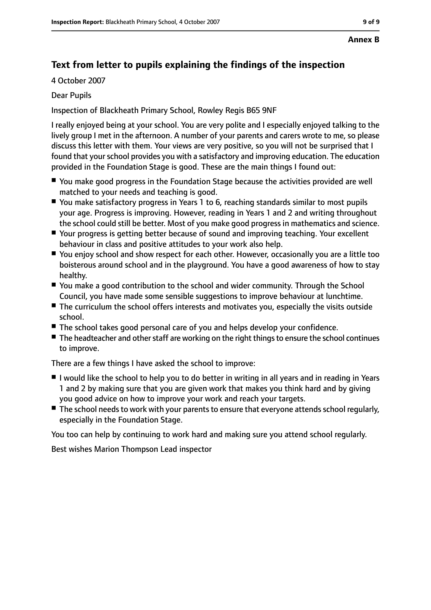## **Text from letter to pupils explaining the findings of the inspection**

4 October 2007

### Dear Pupils

Inspection of Blackheath Primary School, Rowley Regis B65 9NF

I really enjoyed being at your school. You are very polite and I especially enjoyed talking to the lively group I met in the afternoon. A number of your parents and carers wrote to me, so please discuss this letter with them. Your views are very positive, so you will not be surprised that I found that your school provides you with a satisfactory and improving education. The education provided in the Foundation Stage is good. These are the main things I found out:

- You make good progress in the Foundation Stage because the activities provided are well matched to your needs and teaching is good.
- You make satisfactory progress in Years 1 to 6, reaching standards similar to most pupils your age. Progress is improving. However, reading in Years 1 and 2 and writing throughout the school could still be better. Most of you make good progress in mathematics and science.
- Your progress is getting better because of sound and improving teaching. Your excellent behaviour in class and positive attitudes to your work also help.
- You enjoy school and show respect for each other. However, occasionally you are a little too boisterous around school and in the playground. You have a good awareness of how to stay healthy.
- You make a good contribution to the school and wider community. Through the School Council, you have made some sensible suggestions to improve behaviour at lunchtime.
- The curriculum the school offers interests and motivates you, especially the visits outside school.
- The school takes good personal care of you and helps develop your confidence.
- The headteacher and other staff are working on the right things to ensure the school continues to improve.

There are a few things I have asked the school to improve:

- I would like the school to help you to do better in writing in all years and in reading in Years 1 and 2 by making sure that you are given work that makes you think hard and by giving you good advice on how to improve your work and reach your targets.
- The school needs to work with your parents to ensure that everyone attends school regularly, especially in the Foundation Stage.

You too can help by continuing to work hard and making sure you attend school regularly.

Best wishes Marion Thompson Lead inspector